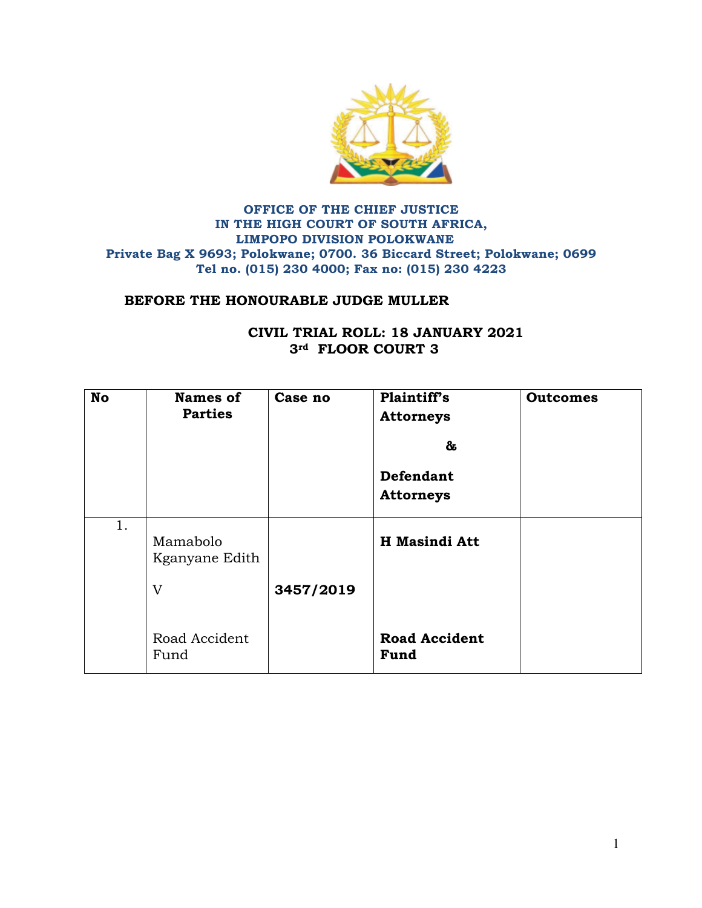

## **OFFICE OF THE CHIEF JUSTICE IN THE HIGH COURT OF SOUTH AFRICA, LIMPOPO DIVISION POLOKWANE Private Bag X 9693; Polokwane; 0700. 36 Biccard Street; Polokwane; 0699 Tel no. (015) 230 4000; Fax no: (015) 230 4223**

## **BEFORE THE HONOURABLE JUDGE MULLER**

| <b>No</b> | <b>Names of</b><br><b>Parties</b> | Case no   | Plaintiff's<br><b>Attorneys</b><br>&<br><b>Defendant</b><br><b>Attorneys</b> | <b>Outcomes</b> |
|-----------|-----------------------------------|-----------|------------------------------------------------------------------------------|-----------------|
| 1.        | Mamabolo<br>Kganyane Edith<br>V   | 3457/2019 | <b>H</b> Masindi Att                                                         |                 |
|           | Road Accident<br>Fund             |           | <b>Road Accident</b><br>Fund                                                 |                 |

## **CIVIL TRIAL ROLL: 18 JANUARY 2021 3rd FLOOR COURT 3**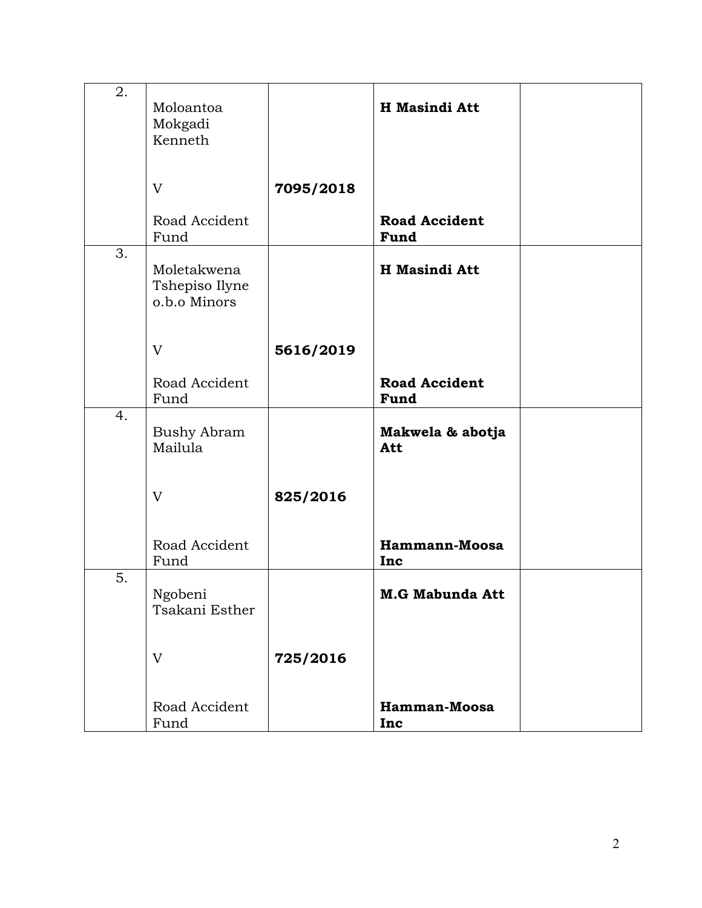| 2. | Moloantoa<br>Mokgadi<br>Kenneth               |           | H Masindi Att                |  |
|----|-----------------------------------------------|-----------|------------------------------|--|
|    | V                                             | 7095/2018 |                              |  |
|    | Road Accident<br>Fund                         |           | <b>Road Accident</b><br>Fund |  |
| 3. | Moletakwena<br>Tshepiso Ilyne<br>o.b.o Minors |           | <b>H</b> Masindi Att         |  |
|    | V                                             | 5616/2019 |                              |  |
|    | Road Accident<br>Fund                         |           | <b>Road Accident</b><br>Fund |  |
| 4. | <b>Bushy Abram</b><br>Mailula                 |           | Makwela & abotja<br>Att      |  |
|    | V                                             | 825/2016  |                              |  |
|    | Road Accident<br>Fund                         |           | Hammann-Moosa<br>Inc         |  |
| 5. | Ngobeni<br>Tsakani Esther                     |           | <b>M.G Mabunda Att</b>       |  |
|    | V                                             | 725/2016  |                              |  |
|    | Road Accident<br>Fund                         |           | Hamman-Moosa<br>Inc          |  |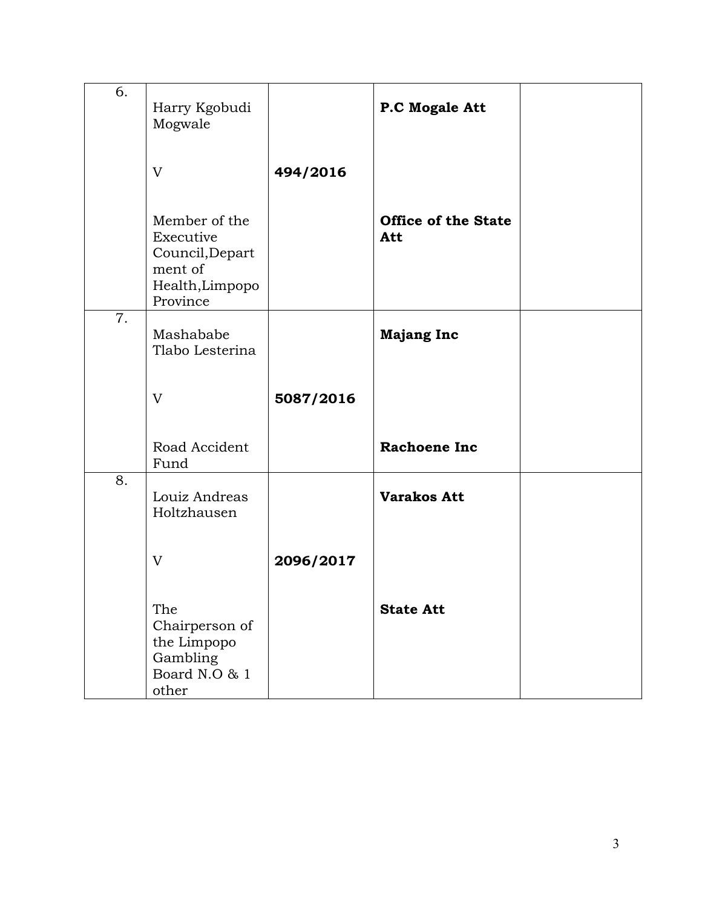| 6. | Harry Kgobudi<br>Mogwale                                                                |           | P.C Mogale Att                    |  |
|----|-----------------------------------------------------------------------------------------|-----------|-----------------------------------|--|
|    | V                                                                                       | 494/2016  |                                   |  |
|    | Member of the<br>Executive<br>Council, Depart<br>ment of<br>Health, Limpopo<br>Province |           | <b>Office of the State</b><br>Att |  |
| 7. | Mashababe<br>Tlabo Lesterina                                                            |           | <b>Majang Inc</b>                 |  |
|    | V                                                                                       | 5087/2016 |                                   |  |
|    | Road Accident<br>Fund                                                                   |           | <b>Rachoene Inc</b>               |  |
| 8. | Louiz Andreas<br>Holtzhausen                                                            |           | <b>Varakos Att</b>                |  |
|    | V                                                                                       | 2096/2017 |                                   |  |
|    | The<br>Chairperson of<br>the Limpopo<br>Gambling<br>Board N.O & 1<br>other              |           | <b>State Att</b>                  |  |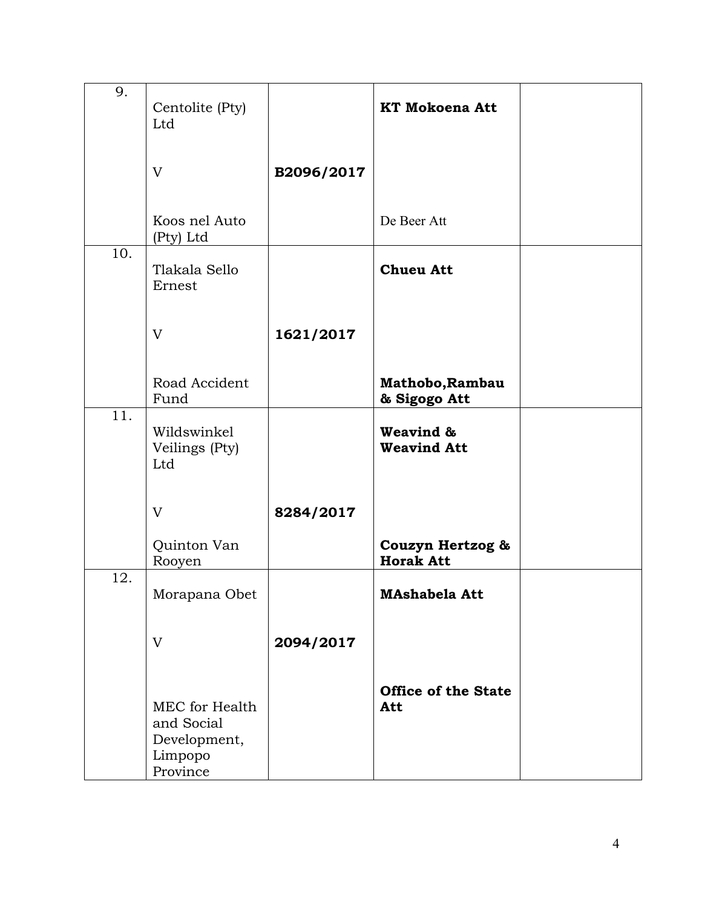| 9.  | Centolite (Pty)<br>Ltd                                              |            | <b>KT Mokoena Att</b>                |  |
|-----|---------------------------------------------------------------------|------------|--------------------------------------|--|
|     | V                                                                   | B2096/2017 |                                      |  |
|     | Koos nel Auto<br>(Pty) Ltd                                          |            | De Beer Att                          |  |
| 10. | Tlakala Sello<br>Ernest                                             |            | <b>Chueu Att</b>                     |  |
|     | $\mathbf{V}$                                                        | 1621/2017  |                                      |  |
|     | Road Accident<br>Fund                                               |            | Mathobo, Rambau<br>& Sigogo Att      |  |
| 11. | Wildswinkel<br>Veilings (Pty)<br>Ltd                                |            | Weavind &<br><b>Weavind Att</b>      |  |
|     | V                                                                   | 8284/2017  |                                      |  |
|     | Quinton Van<br>Rooyen                                               |            | Couzyn Hertzog &<br><b>Horak Att</b> |  |
| 12. | Morapana Obet                                                       |            | <b>MAshabela Att</b>                 |  |
|     | V                                                                   | 2094/2017  |                                      |  |
|     | MEC for Health<br>and Social<br>Development,<br>Limpopo<br>Province |            | <b>Office of the State</b><br>Att    |  |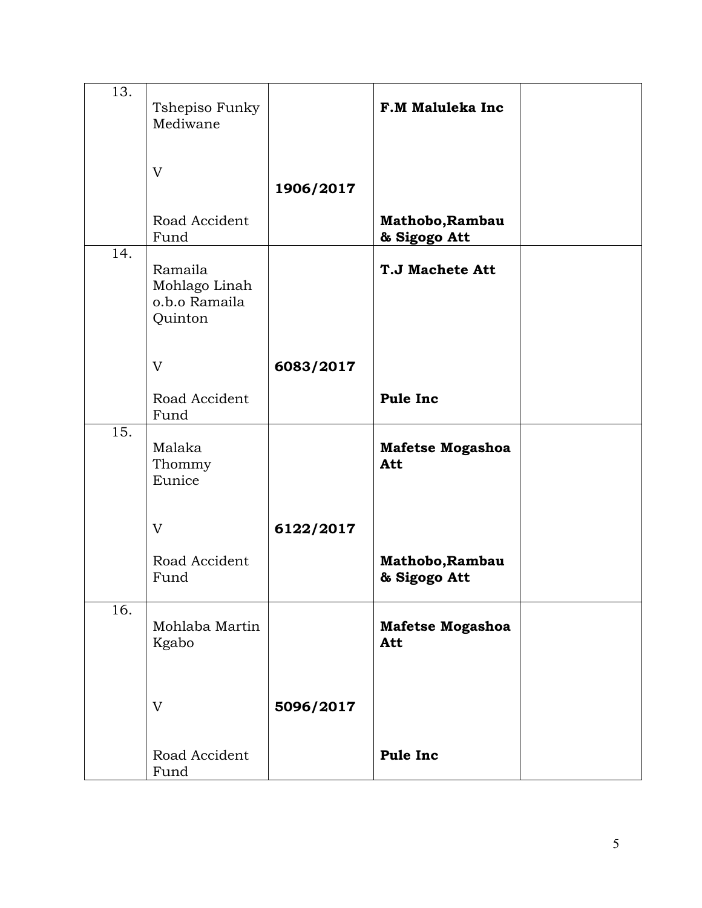| 13.               | Tshepiso Funky<br>Mediwane                           |           | <b>F.M Maluleka Inc</b>         |  |
|-------------------|------------------------------------------------------|-----------|---------------------------------|--|
|                   | V                                                    | 1906/2017 |                                 |  |
|                   | Road Accident<br>Fund                                |           | Mathobo, Rambau<br>& Sigogo Att |  |
| 14.               | Ramaila<br>Mohlago Linah<br>o.b.o Ramaila<br>Quinton |           | <b>T.J Machete Att</b>          |  |
|                   | V                                                    | 6083/2017 |                                 |  |
|                   | Road Accident<br>Fund                                |           | <b>Pule Inc</b>                 |  |
| $\overline{15}$ . | Malaka<br>Thommy<br>Eunice                           |           | <b>Mafetse Mogashoa</b><br>Att  |  |
|                   | V                                                    | 6122/2017 |                                 |  |
|                   | Road Accident<br>Fund                                |           | Mathobo, Rambau<br>& Sigogo Att |  |
| 16.               | Mohlaba Martin<br>Kgabo                              |           | <b>Mafetse Mogashoa</b><br>Att  |  |
|                   | V                                                    | 5096/2017 |                                 |  |
|                   | Road Accident<br>Fund                                |           | <b>Pule Inc</b>                 |  |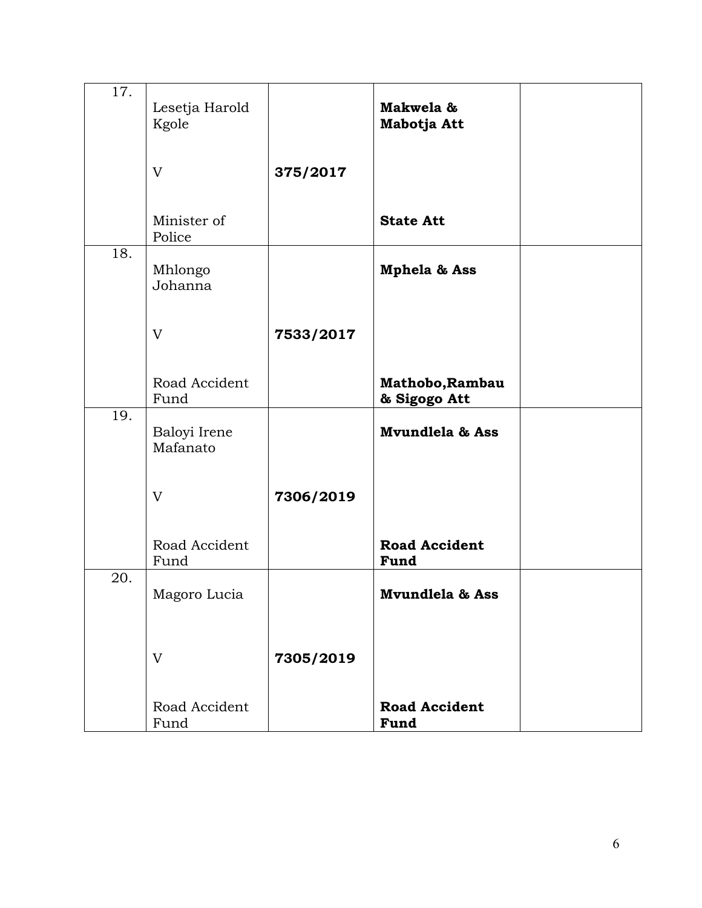| 17. | Lesetja Harold<br>Kgole  |           | Makwela &<br>Mabotja Att        |  |
|-----|--------------------------|-----------|---------------------------------|--|
|     | V                        | 375/2017  |                                 |  |
|     | Minister of<br>Police    |           | <b>State Att</b>                |  |
| 18. | Mhlongo<br>Johanna       |           | <b>Mphela &amp; Ass</b>         |  |
|     | V                        | 7533/2017 |                                 |  |
|     | Road Accident<br>Fund    |           | Mathobo, Rambau<br>& Sigogo Att |  |
| 19. | Baloyi Irene<br>Mafanato |           | Mvundlela & Ass                 |  |
|     | V                        | 7306/2019 |                                 |  |
|     | Road Accident<br>Fund    |           | <b>Road Accident</b><br>Fund    |  |
| 20. | Magoro Lucia             |           | <b>Mvundlela &amp; Ass</b>      |  |
|     | V                        | 7305/2019 |                                 |  |
|     |                          |           |                                 |  |
|     | Road Accident<br>Fund    |           | <b>Road Accident</b><br>Fund    |  |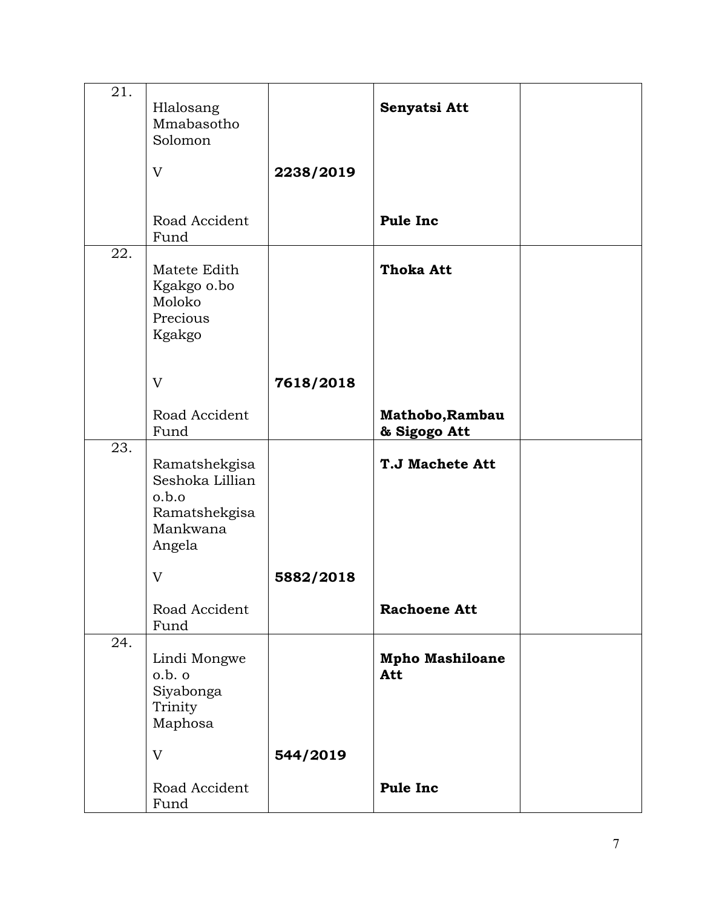| 21. | Hlalosang<br>Mmabasotho<br>Solomon<br>V                                          | 2238/2019 | Senyatsi Att                    |  |
|-----|----------------------------------------------------------------------------------|-----------|---------------------------------|--|
|     | Road Accident<br>Fund                                                            |           | Pule Inc                        |  |
| 22. | Matete Edith<br>Kgakgo o.bo<br>Moloko<br>Precious<br>Kgakgo                      |           | <b>Thoka Att</b>                |  |
|     | V                                                                                | 7618/2018 |                                 |  |
|     | Road Accident<br>Fund                                                            |           | Mathobo, Rambau<br>& Sigogo Att |  |
| 23. | Ramatshekgisa<br>Seshoka Lillian<br>o.b.o<br>Ramatshekgisa<br>Mankwana<br>Angela |           | <b>T.J Machete Att</b>          |  |
|     | V                                                                                | 5882/2018 |                                 |  |
|     | Road Accident<br>Fund                                                            |           | <b>Rachoene Att</b>             |  |
| 24. | Lindi Mongwe<br>o.b. o<br>Siyabonga<br>Trinity<br>Maphosa                        |           | <b>Mpho Mashiloane</b><br>Att   |  |
|     | V                                                                                | 544/2019  |                                 |  |
|     | Road Accident<br>Fund                                                            |           | Pule Inc                        |  |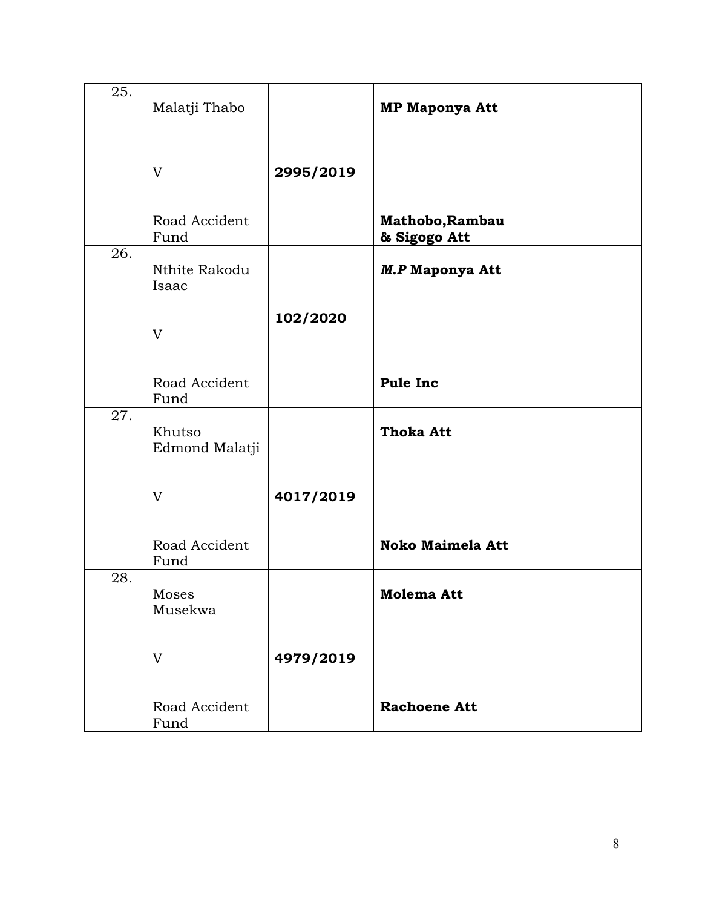| 25. | Malatji Thabo            |           | <b>MP Maponya Att</b>           |  |
|-----|--------------------------|-----------|---------------------------------|--|
|     | V                        | 2995/2019 |                                 |  |
|     | Road Accident<br>Fund    |           | Mathobo, Rambau<br>& Sigogo Att |  |
| 26. | Nthite Rakodu<br>Isaac   |           | <b>M.P Maponya Att</b>          |  |
|     | V                        | 102/2020  |                                 |  |
|     | Road Accident<br>Fund    |           | Pule Inc                        |  |
| 27. | Khutso<br>Edmond Malatji |           | <b>Thoka Att</b>                |  |
|     | V                        | 4017/2019 |                                 |  |
|     | Road Accident<br>Fund    |           | <b>Noko Maimela Att</b>         |  |
| 28. | Moses<br>Musekwa         |           | Molema Att                      |  |
|     | V                        | 4979/2019 |                                 |  |
|     | Road Accident<br>Fund    |           | <b>Rachoene Att</b>             |  |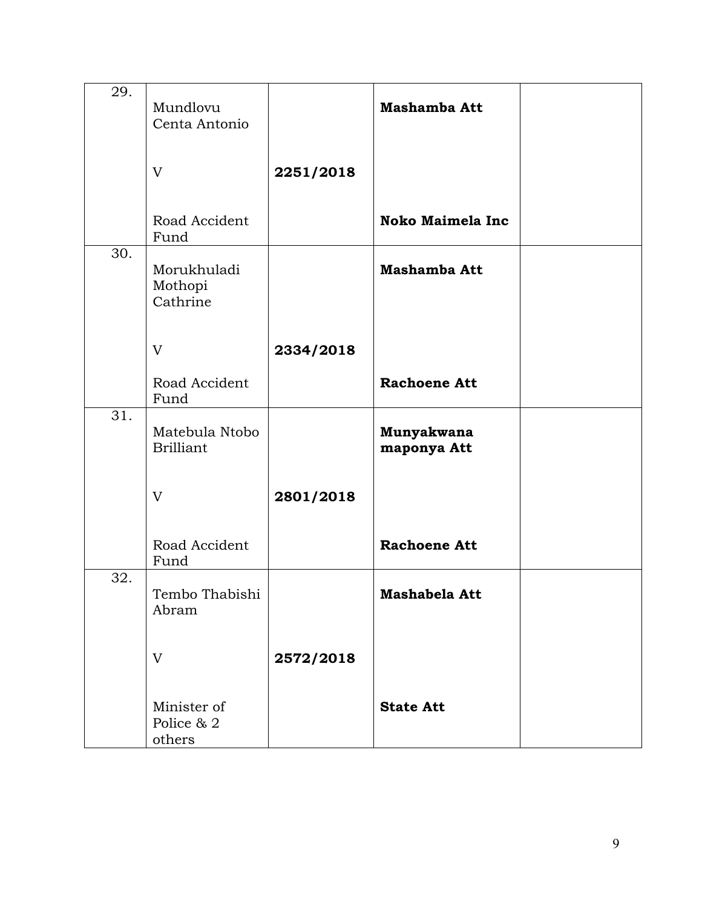| 29. | Mundlovu<br>Centa Antonio           |           | Mashamba Att              |  |
|-----|-------------------------------------|-----------|---------------------------|--|
|     | V                                   | 2251/2018 |                           |  |
|     | Road Accident<br>Fund               |           | <b>Noko Maimela Inc</b>   |  |
| 30. | Morukhuladi<br>Mothopi<br>Cathrine  |           | Mashamba Att              |  |
|     | V                                   | 2334/2018 |                           |  |
|     | Road Accident<br>Fund               |           | <b>Rachoene Att</b>       |  |
| 31. | Matebula Ntobo<br><b>Brilliant</b>  |           | Munyakwana<br>maponya Att |  |
|     | V                                   | 2801/2018 |                           |  |
|     | Road Accident<br>Fund               |           | <b>Rachoene Att</b>       |  |
| 32. | Tembo Thabishi<br>Abram             |           | Mashabela Att             |  |
|     | V                                   | 2572/2018 |                           |  |
|     | Minister of<br>Police & 2<br>others |           | <b>State Att</b>          |  |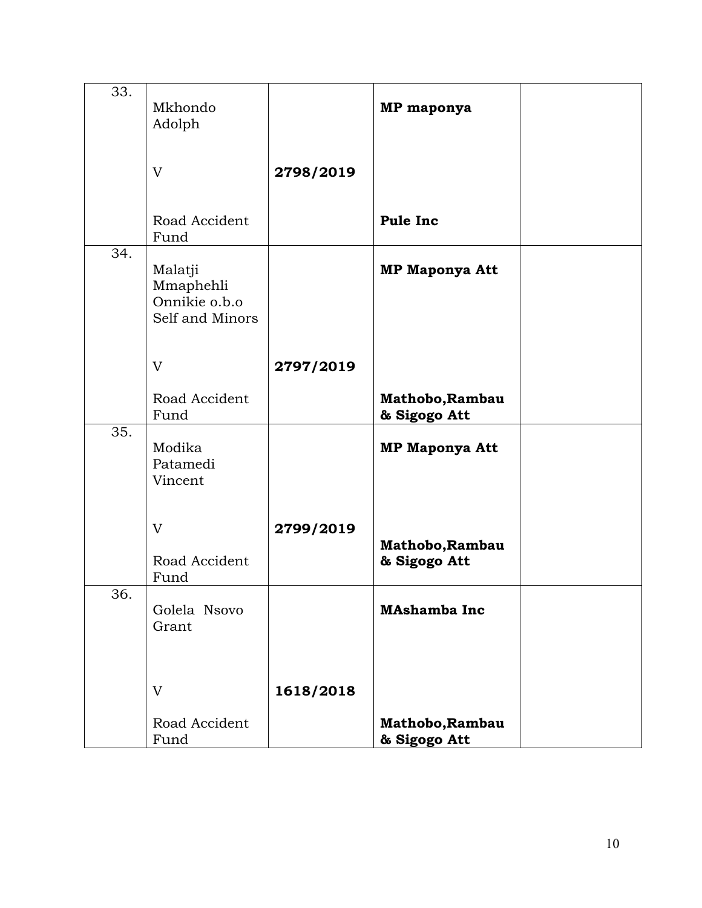| 33. | Mkhondo<br>Adolph                                        |           | MP maponya                      |  |
|-----|----------------------------------------------------------|-----------|---------------------------------|--|
|     | V                                                        | 2798/2019 |                                 |  |
|     | Road Accident<br>Fund                                    |           | Pule Inc                        |  |
| 34. | Malatji<br>Mmaphehli<br>Onnikie o.b.o<br>Self and Minors |           | <b>MP Maponya Att</b>           |  |
|     | V                                                        | 2797/2019 |                                 |  |
|     | Road Accident<br>Fund                                    |           | Mathobo, Rambau<br>& Sigogo Att |  |
| 35. | Modika<br>Patamedi<br>Vincent                            |           | <b>MP Maponya Att</b>           |  |
|     | V                                                        | 2799/2019 |                                 |  |
|     | Road Accident<br>Fund                                    |           | Mathobo, Rambau<br>& Sigogo Att |  |
| 36. | Golela Nsovo<br>Grant                                    |           | <b>MAshamba Inc</b>             |  |
|     | V                                                        | 1618/2018 |                                 |  |
|     | Road Accident<br>Fund                                    |           | Mathobo, Rambau<br>& Sigogo Att |  |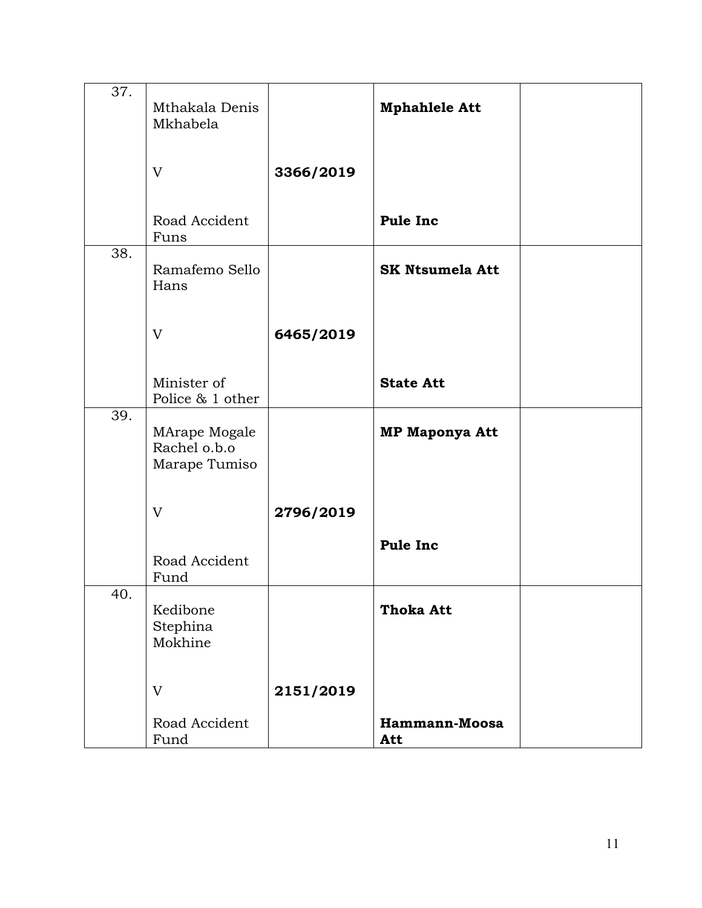| 37. | Mthakala Denis<br>Mkhabela                     |           | <b>Mphahlele Att</b>   |  |
|-----|------------------------------------------------|-----------|------------------------|--|
|     | V                                              | 3366/2019 |                        |  |
|     | Road Accident<br>Funs                          |           | Pule Inc               |  |
| 38. | Ramafemo Sello<br>Hans                         |           | <b>SK Ntsumela Att</b> |  |
|     | V                                              | 6465/2019 |                        |  |
|     | Minister of<br>Police & 1 other                |           | <b>State Att</b>       |  |
| 39. | MArape Mogale<br>Rachel o.b.o<br>Marape Tumiso |           | <b>MP Maponya Att</b>  |  |
|     | V                                              | 2796/2019 |                        |  |
|     | Road Accident<br>Fund                          |           | Pule Inc               |  |
| 40. | Kedibone<br>Stephina<br>Mokhine                |           | <b>Thoka Att</b>       |  |
|     | V                                              | 2151/2019 |                        |  |
|     | Road Accident<br>Fund                          |           | Hammann-Moosa<br>Att   |  |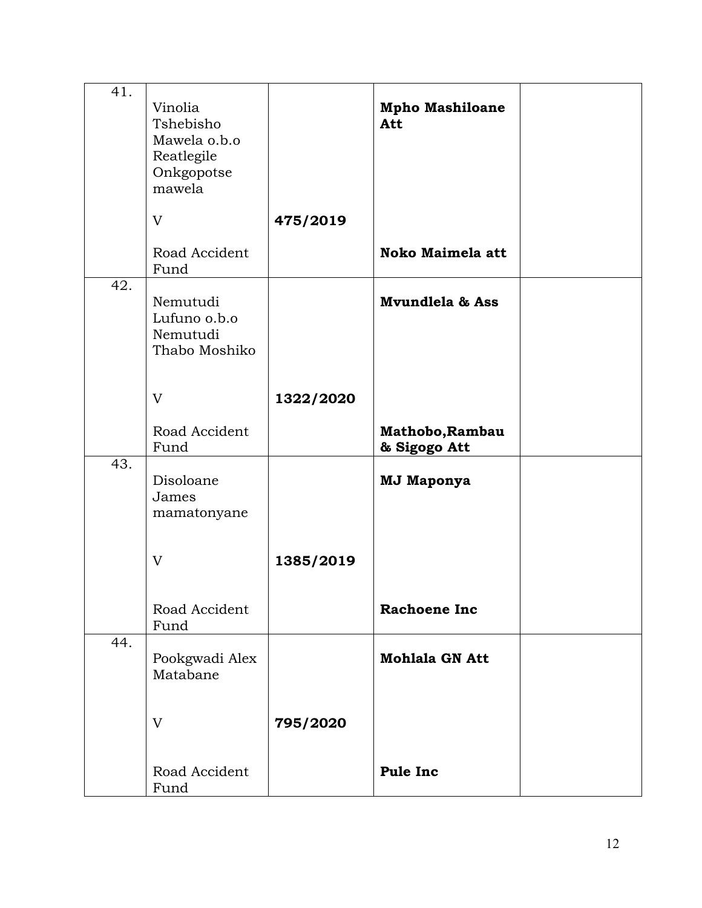| 41. | Vinolia<br>Tshebisho<br>Mawela o.b.o<br>Reatlegile<br>Onkgopotse<br>mawela |           | <b>Mpho Mashiloane</b><br>Att   |  |
|-----|----------------------------------------------------------------------------|-----------|---------------------------------|--|
|     | V                                                                          | 475/2019  |                                 |  |
|     | Road Accident<br>Fund                                                      |           | <b>Noko Maimela att</b>         |  |
| 42. | Nemutudi<br>Lufuno o.b.o<br>Nemutudi<br>Thabo Moshiko                      |           | Mvundlela & Ass                 |  |
|     | V                                                                          | 1322/2020 |                                 |  |
|     | Road Accident<br>Fund                                                      |           | Mathobo, Rambau<br>& Sigogo Att |  |
| 43. | Disoloane<br>James<br>mamatonyane                                          |           | <b>MJ Maponya</b>               |  |
|     | V                                                                          | 1385/2019 |                                 |  |
|     | Road Accident<br>Fund                                                      |           | <b>Rachoene Inc</b>             |  |
| 44. | Pookgwadi Alex<br>Matabane                                                 |           | <b>Mohlala GN Att</b>           |  |
|     | V                                                                          | 795/2020  |                                 |  |
|     | Road Accident<br>Fund                                                      |           | <b>Pule Inc</b>                 |  |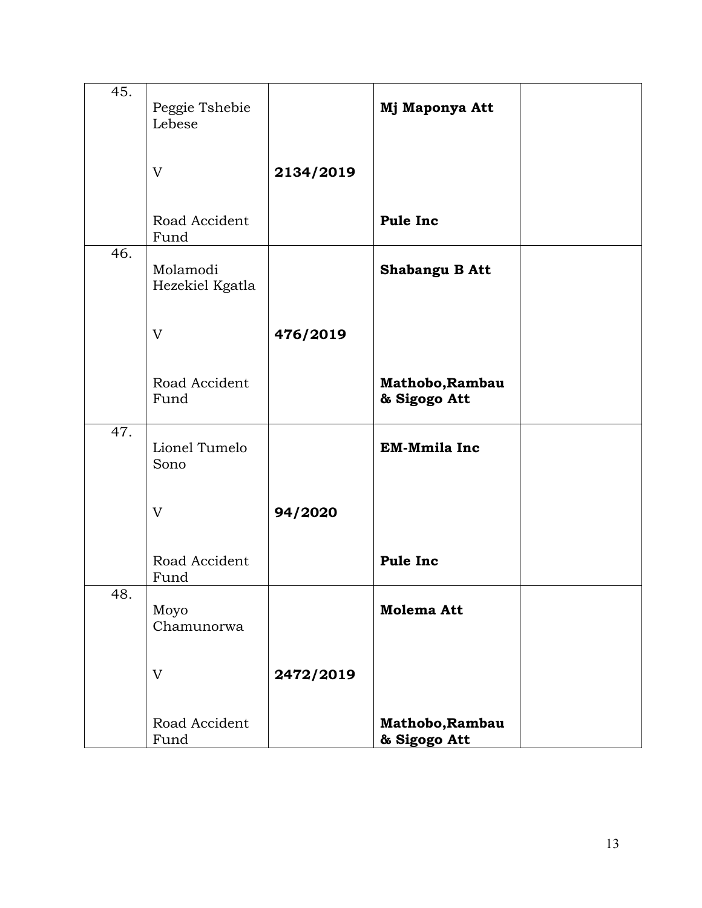| 45. | Peggie Tshebie<br>Lebese    |           | Mj Maponya Att                  |  |
|-----|-----------------------------|-----------|---------------------------------|--|
|     | V                           | 2134/2019 |                                 |  |
|     | Road Accident<br>Fund       |           | <b>Pule Inc</b>                 |  |
| 46. | Molamodi<br>Hezekiel Kgatla |           | Shabangu B Att                  |  |
|     | V                           | 476/2019  |                                 |  |
|     | Road Accident<br>Fund       |           | Mathobo, Rambau<br>& Sigogo Att |  |
| 47. | Lionel Tumelo<br>Sono       |           | <b>EM-Mmila Inc</b>             |  |
|     | V                           | 94/2020   |                                 |  |
|     | Road Accident<br>Fund       |           | Pule Inc                        |  |
| 48. | Moyo<br>Chamunorwa          |           | Molema Att                      |  |
|     | V                           | 2472/2019 |                                 |  |
|     | Road Accident<br>Fund       |           | Mathobo, Rambau<br>& Sigogo Att |  |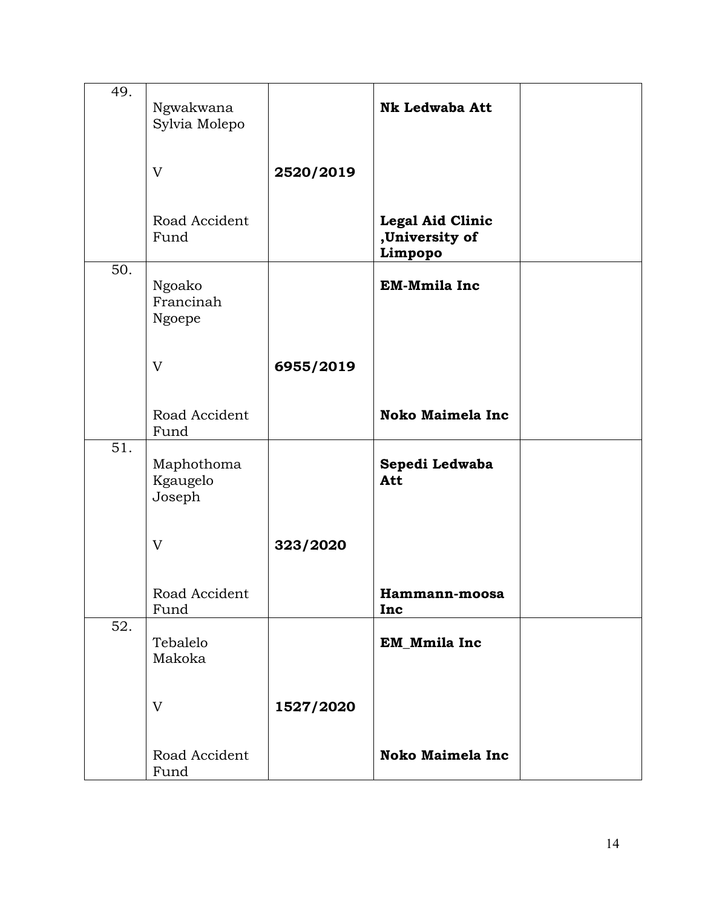| 49. | Ngwakwana<br>Sylvia Molepo       |           | <b>Nk Ledwaba Att</b>                                |  |
|-----|----------------------------------|-----------|------------------------------------------------------|--|
|     | V                                | 2520/2019 |                                                      |  |
|     | Road Accident<br>Fund            |           | <b>Legal Aid Clinic</b><br>,University of<br>Limpopo |  |
| 50. | Ngoako<br>Francinah<br>Ngoepe    |           | <b>EM-Mmila Inc</b>                                  |  |
|     | V                                | 6955/2019 |                                                      |  |
|     | Road Accident<br>Fund            |           | <b>Noko Maimela Inc</b>                              |  |
| 51. | Maphothoma<br>Kgaugelo<br>Joseph |           | Sepedi Ledwaba<br>Att                                |  |
|     | V                                | 323/2020  |                                                      |  |
|     | Road Accident<br>Fund            |           | Hammann-moosa<br>Inc                                 |  |
| 52. | Tebalelo<br>Makoka               |           | EM_Mmila Inc                                         |  |
|     | V                                | 1527/2020 |                                                      |  |
|     | Road Accident<br>Fund            |           | <b>Noko Maimela Inc</b>                              |  |